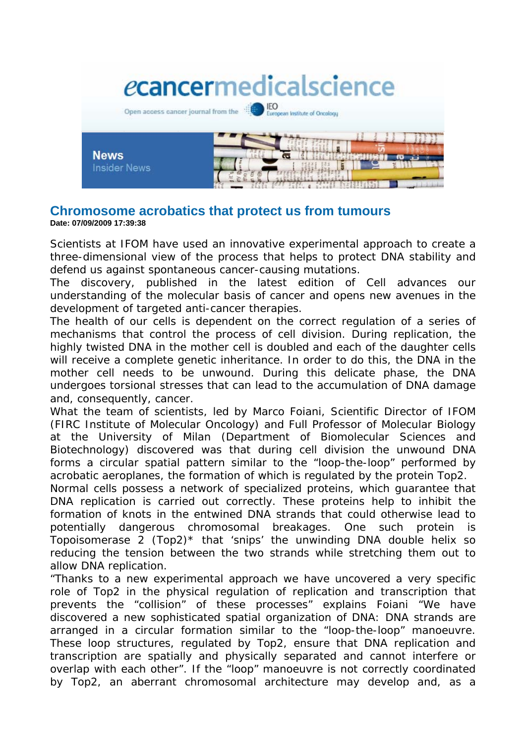

## **Chromosome acrobatics that protect us from tumours Date: 07/09/2009 17:39:38**

Scientists at IFOM have used an innovative experimental approach to create a three-dimensional view of the process that helps to protect DNA stability and defend us against spontaneous cancer-causing mutations.

The discovery, published in the latest edition of *Cell* advances our understanding of the molecular basis of cancer and opens new avenues in the development of targeted anti-cancer therapies.

The health of our cells is dependent on the correct regulation of a series of mechanisms that control the process of cell division. During replication, the highly twisted DNA in the mother cell is doubled and each of the daughter cells will receive a complete genetic inheritance. In order to do this, the DNA in the mother cell needs to be unwound. During this delicate phase, the DNA undergoes torsional stresses that can lead to the accumulation of DNA damage and, consequently, cancer.

What the team of scientists, led by Marco Foiani, Scientific Director of IFOM (FIRC Institute of Molecular Oncology) and Full Professor of Molecular Biology at the University of Milan (Department of Biomolecular Sciences and Biotechnology) discovered was that during cell division the unwound DNA forms a circular spatial pattern similar to the "loop-the-loop" performed by acrobatic aeroplanes, the formation of which is regulated by the protein Top2.

Normal cells possess a network of specialized proteins, which guarantee that DNA replication is carried out correctly. These proteins help to inhibit the formation of knots in the entwined DNA strands that could otherwise lead to potentially dangerous chromosomal breakages. One such protein is Topoisomerase 2 (Top2)\* that 'snips' the unwinding DNA double helix so reducing the tension between the two strands while stretching them out to allow DNA replication.

"Thanks to a new experimental approach we have uncovered a very specific role of Top2 in the physical regulation of replication and transcription that prevents the "collision" of these processes" explains Foiani "We have discovered a new sophisticated spatial organization of DNA: DNA strands are arranged in a circular formation similar to the "loop-the-loop" manoeuvre. These loop structures, regulated by Top2, ensure that DNA replication and transcription are spatially and physically separated and cannot interfere or overlap with each other". If the "loop" manoeuvre is not correctly coordinated by Top2, an aberrant chromosomal architecture may develop and, as a